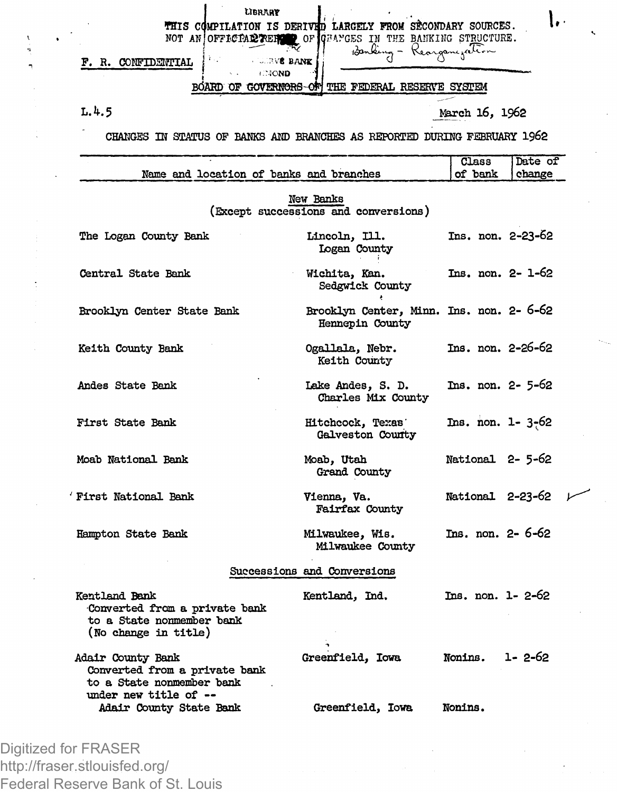|                                                                                                     | LIBRARY                                                                                                                    |                                                             |                   |
|-----------------------------------------------------------------------------------------------------|----------------------------------------------------------------------------------------------------------------------------|-------------------------------------------------------------|-------------------|
|                                                                                                     | THIS COMPILATION IS DERIVED LARGELY FROM SECONDARY SOURCES.<br>NOT AN OFFICIAL REFORM OF GRANGES IN THE BANKING STRUCTURE. |                                                             |                   |
| F. R. CONFIDENTIAL                                                                                  | <b>LEVE BANK</b>                                                                                                           | 13anking - Kearganezation                                   |                   |
|                                                                                                     | CHOND<br>BOARD OF GOVERNORS-OF THE FEDERAL RESERVE SYSTEM                                                                  |                                                             |                   |
| L.4.5                                                                                               |                                                                                                                            |                                                             | March 16, 1962    |
|                                                                                                     | CHANGES IN STATUS OF BANKS AND BRANCHES AS REPORTED DURING FEBRUARY 1962                                                   |                                                             |                   |
|                                                                                                     |                                                                                                                            |                                                             | Class<br>Date of  |
|                                                                                                     | Name and location of banks and branches                                                                                    |                                                             | of bank<br>change |
|                                                                                                     | New Banks<br>(Except successions and conversions)                                                                          |                                                             |                   |
| The Logan County Bank                                                                               | Lincoln, Ill.                                                                                                              | Logan County                                                | Ins. non. 2-23-62 |
| Central State Bank                                                                                  | Wichita, Kan.                                                                                                              | Sedgwick County                                             | Ins. non. 2- 1-62 |
| Brooklyn Center State Bank                                                                          |                                                                                                                            | Brooklyn Center, Minn. Ins. non. 2- 6-62<br>Hennepin County |                   |
| Keith County Bank                                                                                   |                                                                                                                            | Ogallala, Nebr.<br>Keith County                             | Ins. non. 2-26-62 |
| Andes State Bank                                                                                    |                                                                                                                            | Lake Andes, S. D.<br>Charles Mix County                     | Ins. non. 2- 5-62 |
| First State Bank                                                                                    |                                                                                                                            | Hitchcock, Texas'<br>Galveston County                       | Ins. non. 1-3-62  |
| Moab National Bank                                                                                  | Moab, Utah                                                                                                                 | Grand County                                                | National 2-5-62   |
| 'First National Bank                                                                                | Vienna, Va.                                                                                                                | Fairfax County                                              | National 2-23-62  |
| Hampton State Bank                                                                                  |                                                                                                                            | Milwaukee, Wis.<br>Milwaukee County                         | Ins. non. 2- 6-62 |
|                                                                                                     | Successions and Conversions                                                                                                |                                                             |                   |
| Kentland Bank<br>Converted from a private bank<br>to a State nonmember bank<br>(No change in title) | Kentland, Ind.                                                                                                             |                                                             | Ins. non. 1-2-62  |
| Adair County Bank                                                                                   |                                                                                                                            | Greenfield, Iowa                                            | 1-2-62<br>Nonins. |
| Converted from a private bank                                                                       |                                                                                                                            |                                                             |                   |
| to a State nonmember bank<br>under new title of --                                                  |                                                                                                                            |                                                             |                   |

×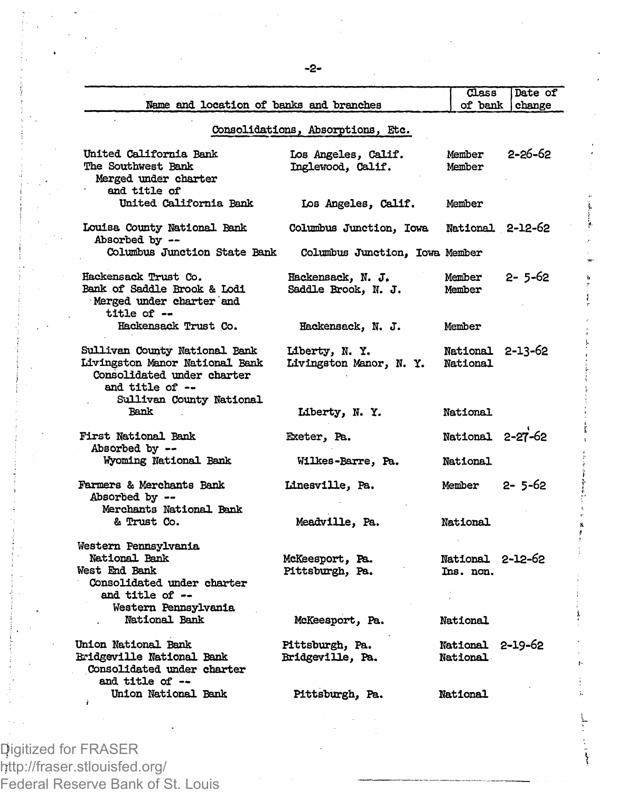|                                                                                                                                              |                                          | $_{\text{Class}}$             | Date of      |
|----------------------------------------------------------------------------------------------------------------------------------------------|------------------------------------------|-------------------------------|--------------|
| Name and location of banks and branches                                                                                                      |                                          | of bank                       | change       |
|                                                                                                                                              | Consolidations, Absorptions, Etc.        |                               |              |
| United California Bank<br>The Southwest Bank<br>Merged under charter<br>and title of                                                         | Los Angeles, Calif.<br>Inglewood, Calif. | Member<br>Member              | 2-26-62      |
| United California Bank                                                                                                                       | Los Angeles, Calif.                      | Member                        |              |
| Louisa County National Bank<br>Absorbed by --                                                                                                | Columbus Junction, Iowa                  | National 2-12-62              |              |
| Columbus Junction State Bank                                                                                                                 | Columbus Junction, Iowa Member           |                               |              |
| Hackensack Trust Co.<br>Bank of Saddle Brook & Lodi<br>Merged under charter and<br>title of --                                               | Hackensack, N. J.<br>Saddle Brook, N. J. | Member<br>Member              | $2 - 5 - 62$ |
| Hackensack Trust Co.                                                                                                                         | Hackensack, N. J.                        | Member                        |              |
| Sullivan County National Bank<br>Livingston Manor National Bank<br>Consolidated under charter<br>and title of --<br>Sullivan County National | Liberty, N.Y.<br>Livingston Manor, N.Y.  | National 2-13-62<br>National  |              |
| <b>Bank</b>                                                                                                                                  | Liberty, N. Y.                           | National                      |              |
| <b>First National Bank</b><br>Absorbed by --                                                                                                 | Exeter, Pa.                              | National 2-27-62              |              |
| Wyoming National Bank                                                                                                                        | Wilkes-Barre, Pa.                        | <b>National</b>               |              |
| Farmers & Merchants Bank<br>Absorbed by --<br>Merchants National Bank                                                                        | Linesville, Pa.                          | Member $2 - 5 - 62$           |              |
| & Trust Co.                                                                                                                                  | Meadville, Pa.                           | National                      |              |
| Western Pennsylvania<br>National Bank<br>West End Bank<br>Consolidated under charter<br>and title of --<br>Western Pennsylvania              | McKeesport, Pa.<br>Pittsburgh, Pa.       | National 2-12-62<br>Ins. non. |              |
| National Bank                                                                                                                                | McKeesport, Pa.                          | National                      |              |
| Union National Bank<br><b>Bridgeville National Bank</b><br>Consolidated under charter<br>and title of --                                     | Pittsburgh, Pa.<br>Bridgeville, Pa.      | National 2-19-62<br>National  |              |
| Union National Bank                                                                                                                          | Pittsburgh, Pa.                          | National                      |              |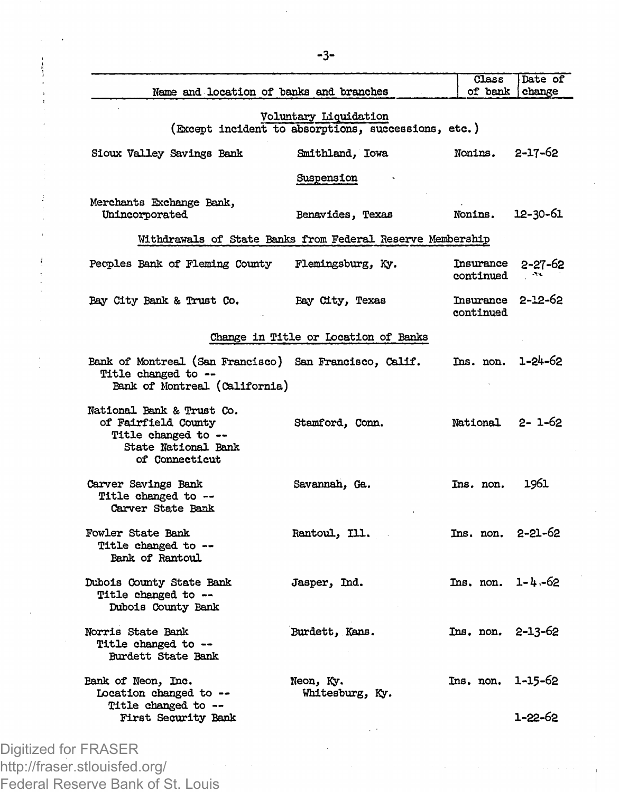| Name and location of banks and branches                                                                          |                                                            | Class                          | Date of<br>of bank change |  |  |  |
|------------------------------------------------------------------------------------------------------------------|------------------------------------------------------------|--------------------------------|---------------------------|--|--|--|
| Voluntary Liquidation<br>(Except incident to absorptions, successions, etc.)                                     |                                                            |                                |                           |  |  |  |
| Sioux Valley Savings Bank                                                                                        | Smithland, Iowa                                            | Nonins. 2-17-62                |                           |  |  |  |
|                                                                                                                  | Suspension                                                 |                                |                           |  |  |  |
| Merchants Exchange Bank,<br>Unincorporated                                                                       | Benavides, Texas                                           | Nonins.                        | 12-30-61                  |  |  |  |
|                                                                                                                  | Withdrawals of State Banks from Federal Reserve Membership |                                |                           |  |  |  |
| Peoples Bank of Fleming County                                                                                   | Flemingsburg, Ky.                                          | Insurance<br>continued         | 2-27-62<br>A.             |  |  |  |
| Bay City Bank & Trust Co.                                                                                        | Bay City, Texas                                            | Insurance 2-12-62<br>continued |                           |  |  |  |
|                                                                                                                  | Change in Title or Location of Banks                       |                                |                           |  |  |  |
| Bank of Montreal (San Francisco) San Francisco, Calif.<br>Title changed to --<br>Bank of Montreal (California)   |                                                            | Ins. non. 1-24-62              |                           |  |  |  |
| National Bank & Trust Co.<br>of Fairfield County<br>Title changed to --<br>State National Bank<br>of Connecticut | Stamford, Conn.                                            | National 2-1-62                |                           |  |  |  |
| Carver Savings Bank<br>Title changed to --<br>Carver State Bank                                                  | Savannah, Ga.                                              | Ins. non.                      | 1961                      |  |  |  |
| <b>Fowler State Bank</b><br>Title changed to --<br>Bank of Rantoul                                               | Rantoul, Ill.                                              | Ins. non. 2-21-62              |                           |  |  |  |
| Dubois County State Bank<br>Title changed to --<br>Dubois County Bank                                            | Jasper, Ind.                                               | $Ins. non. 1-4-62$             |                           |  |  |  |
| Norris State Bank<br>Title changed to --<br>Burdett State Bank                                                   | Burdett, Kans.                                             | Ins. non. 2-13-62              |                           |  |  |  |
| Bank of Neon, Inc.<br>Location changed to --<br>Title changed to --                                              | Neon, Ky.<br>Whitesburg, Ky.                               | Ins. non.                      | $1 - 15 - 62$             |  |  |  |
| First Security Bank                                                                                              |                                                            |                                | 1-22-62                   |  |  |  |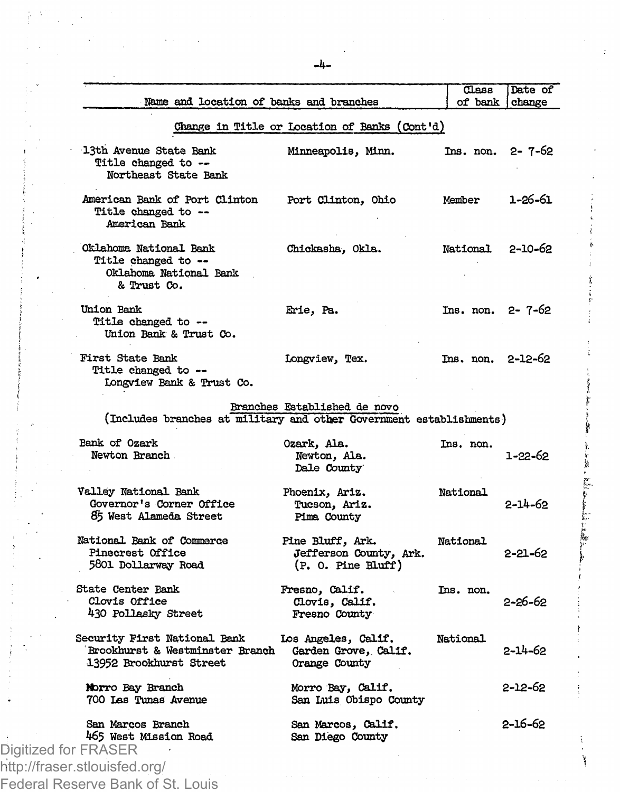|                      | Name and location of banks and branches                                                    |                                                                    | Class<br>of bank    | Date of<br>change |
|----------------------|--------------------------------------------------------------------------------------------|--------------------------------------------------------------------|---------------------|-------------------|
|                      |                                                                                            | Change in Title or Location of Banks (Cont'd)                      |                     |                   |
|                      | 13th Avenue State Bank<br>Title changed to --<br>Northeast State Bank                      | Minneapolis, Minn.                                                 | Ins. non. 2-7-62    |                   |
|                      | American Bank of Port Clinton<br>Title changed to --<br>American Bank                      | Port Clinton, Ohio                                                 | Member              | 1-26-61           |
|                      | Oklahoma National Bank<br>Title changed to --<br>Oklahoma National Bank<br>& Trust Co.     | Chickasha, Okla.                                                   | National            | $2 - 10 - 62$     |
|                      | Union Bank<br>Title changed to --<br>Union Bank & Trust Co.                                | Erie, Pa.                                                          | Ins. non. 2-7-62    |                   |
|                      | First State Bank<br>Title changed to --<br>Longview Bank & Trust Co.                       | Longview, Tex.                                                     | $Ins. non. 2-12-62$ |                   |
|                      | (Includes branches at military and other Government establishments)                        | Branches Established de novo                                       |                     |                   |
|                      | Bank of Ozark<br>Newton Branch.                                                            | Ozark, Ala.<br>Newton, Ala.<br>Dale County                         | Ins. non.           | $1 - 22 - 62$     |
|                      | Valley National Bank<br>Governor's Corner Office<br>85 West Alameda Street                 | Phoenix, Ariz.<br>Tucson, Ariz.<br>Pima County                     | National            | 2-14-62           |
|                      | National Bank of Commerce<br>Pinecrest Office<br>5801 Dollarway Road                       | Pine Bluff, Ark.<br>Jefferson County, Ark.<br>$(P. 0.$ Pine Bluff) | National            | 2-21-62           |
|                      | State Center Bank<br>Clovis Office<br>430 Pollasky Street                                  | Fresno, Calif.<br>Clovis, Calif.<br>Fresno County                  | Ins. non.           | 2-26-62           |
|                      | Security First National Bank<br>Brookhurst & Westminster Branch<br>13952 Brookhurst Street | Los Angeles, Calif.<br>Garden Grove, Calif.<br>Orange County       | National            | $2 - 14 - 62$     |
|                      | Norro Bay Branch<br>700 Las Tunas Avenue                                                   | Morro Bay, Calif.<br>San Luis Obispo County                        |                     | 2-12-62           |
| Digitized for FRASER | San Marcos Branch<br>465 West Mission Road                                                 | San Marcos, Calif.<br>San Diego County                             |                     | 2-16-62           |
|                      | http://fraser.stlouisfed.org/                                                              |                                                                    |                     |                   |
|                      |                                                                                            |                                                                    |                     |                   |

Ï

Federal Reserve Bank of St. Louis

ř.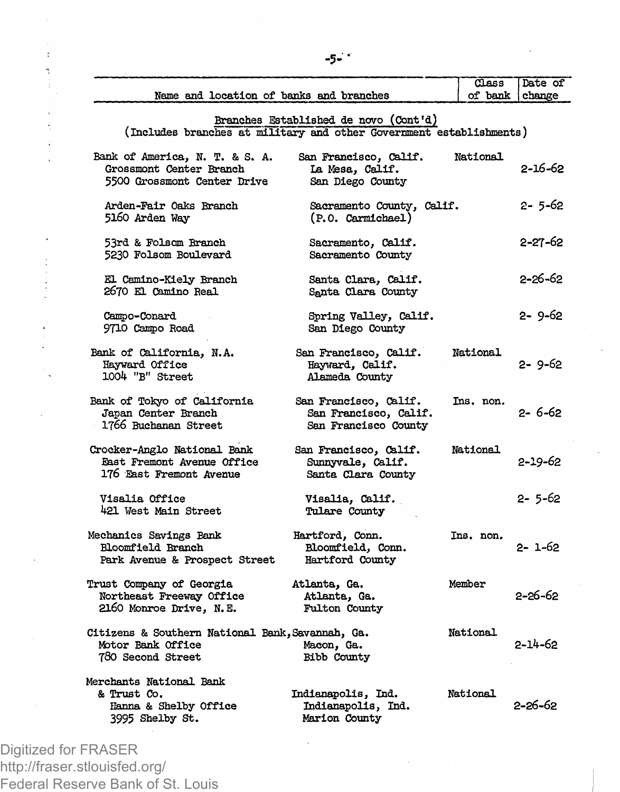| Name and location of banks and branches                                                    |                                                                        | Class<br>of bank | Date of<br>change |
|--------------------------------------------------------------------------------------------|------------------------------------------------------------------------|------------------|-------------------|
| (Includes branches at military and other Government establishments)                        | Branches Established de novo (Cont'd)                                  |                  |                   |
| Bank of America, N. T. & S. A.<br>Grossmont Center Branch<br>5500 Grossmont Center Drive   | San Francisco, Calif.<br>La Mesa, Calif.<br>San Diego County           | National         | 2-16-62           |
| Arden-Fair Oaks Branch<br>5160 Arden Way                                                   | Sacramento County, Calif.<br>(P.O. Carmichael)                         |                  | 2- 5-62           |
| 53rd & Folsom Branch<br>5230 Folsom Boulevard                                              | Sacramento, Calif.<br>Sacramento County                                |                  | 2-27-62           |
| El Camino-Kiely Branch<br>2670 El Camino Real                                              | Santa Clara, Calif.<br>Santa Clara County                              |                  | 2-26-62           |
| Campo-Conard<br>9710 Campo Road                                                            | Spring Valley, Calif.<br>San Diego County                              |                  | 2-9-62            |
| Bank of California, N.A.<br>Hayward Office<br>1004 "B" Street                              | San Francisco, Calif.<br>Hayward, Calif.<br>Alameda County             | National         | 2-9-62            |
| Bank of Tokyo of California<br>Japan Center Branch<br>1766 Buchanan Street                 | San Francisco, Calif.<br>San Francisco, Calif.<br>San Francisco County | Ins. non.        | 2-6-62            |
| Crocker-Anglo National Bank<br>East Fremont Avenue Office<br>176 East Fremont Avenue       | San Francisco, Calif.<br>Sunnyvale, Calif.<br>Santa Clara County       | National         | 2-19-62           |
| Visalia Office<br>421 West Main Street                                                     | Visalia, Calif.<br>Tulare County                                       |                  | 2- 5-62           |
| Mechanics Savings Bank<br>Bloomfield Branch<br>Park Avenue & Prospect Street               | Hartford, Conn.<br>Bloomfield, Conn.<br>Hartford County                | Ins. non.        | 2- 1-62           |
| Trust Company of Georgia<br>Northeast Freeway Office<br>2160 Monroe Drive, N.E.            | Atlanta, Ga.<br>Atlanta, Ga.<br>Fulton County                          | Member           | 2-26-62           |
| Citizens & Southern National Bank, Savannah, Ga.<br>Motor Bank Office<br>780 Second Street | Macon, Ga.<br>Bibb County                                              | National         | $2 - 14 - 62$     |
| Merchants National Bank<br>& Trust Co.<br>Hanna & Shelby Office<br>3995 Shelby St.         | Indianapolis, Ind.<br>Indianapolis, Ind.<br>Marion County              | National         | 2-26-62           |
|                                                                                            |                                                                        |                  |                   |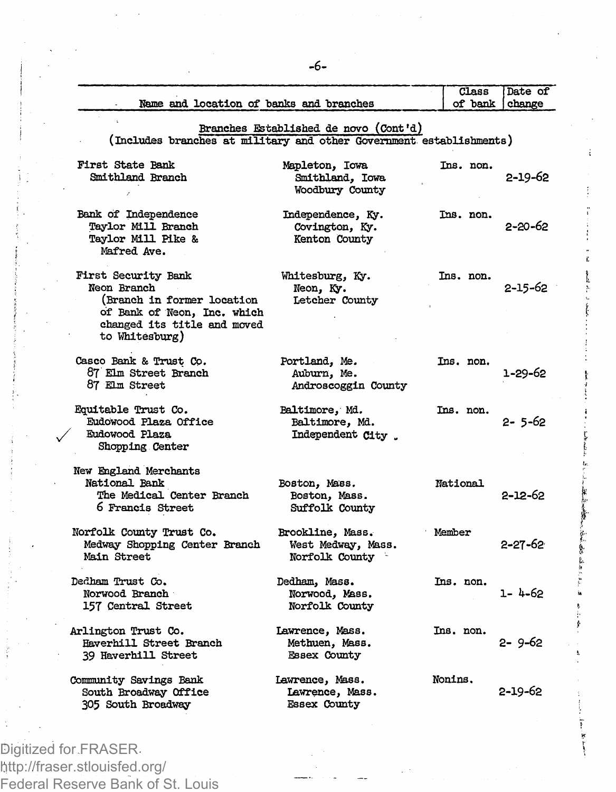|                                                                                                              | Class                                   | Date of<br>change                         |  |  |  |  |
|--------------------------------------------------------------------------------------------------------------|-----------------------------------------|-------------------------------------------|--|--|--|--|
|                                                                                                              |                                         |                                           |  |  |  |  |
| Branches Established de novo (Cont'd)<br>(Includes branches at military and other Government establishments) |                                         |                                           |  |  |  |  |
| Mapleton, Iowa<br>Smithland, Iowa<br>Woodbury County                                                         | Ins. non.                               | $2 - 19 - 62$                             |  |  |  |  |
| Independence, Ky.<br>Covington, Ky.<br>Kenton County                                                         | Ins. non.                               | 2-20-62                                   |  |  |  |  |
| Whitesburg, Ky.<br>Neon, Ky.<br>Letcher County                                                               | Ins. non.                               | $2 - 15 - 62$                             |  |  |  |  |
| Portland, Me.<br>Auburn, Me.<br>Androscoggin County                                                          | Ins. non.                               | 1-29-62                                   |  |  |  |  |
| Baltimore, Md.<br>Baltimore, Md.<br>Independent City.                                                        | Ins. non.                               | 2- 5-62                                   |  |  |  |  |
| Boston, Mass.<br>Boston, Mass.<br><b>Suffolk County</b>                                                      | National                                | 2-12-62                                   |  |  |  |  |
| Brookline, Mass.<br>West Medway, Mass.<br>Norfolk County                                                     |                                         | 2-27-62                                   |  |  |  |  |
| Dedham, Mass.<br>Norwood, Mass.<br>Norfolk County                                                            | Ins. non.                               | 1-4-62                                    |  |  |  |  |
| Lawrence, Mass.<br>Methuen, Mass.<br><b>Essex County</b>                                                     |                                         | 2-9-62                                    |  |  |  |  |
| Lawrence, Mass.<br>Lawrence, Mass.<br><b>Essex County</b>                                                    |                                         | 2-19-62                                   |  |  |  |  |
|                                                                                                              | Name and location of banks and branches | of bank<br>Member<br>Ins. non.<br>Nonins. |  |  |  |  |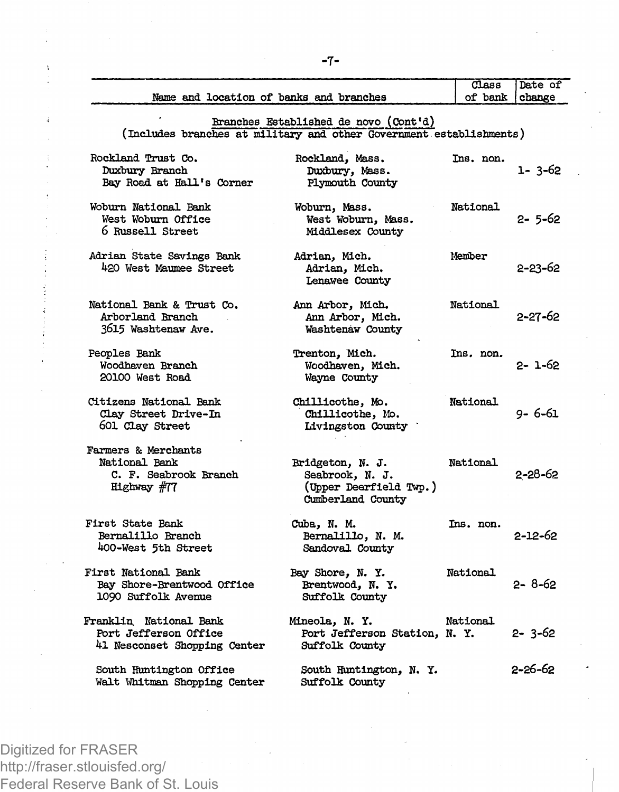|                                                                                 |                                                                                                              | $_{\text{Class}}$ | Date of       |
|---------------------------------------------------------------------------------|--------------------------------------------------------------------------------------------------------------|-------------------|---------------|
| Name and location of banks and branches                                         |                                                                                                              | of bank           | change        |
|                                                                                 | Branches Established de novo (Cont'd)<br>(Includes branches at military and other Government establishments) |                   |               |
| Rockland Trust Co.<br>Duxbury Branch<br>Bay Road at Hall's Corner               | Rockland, Mass.<br>Duxbury, Mass.<br>Plymouth County                                                         | Ins. non.         | $1 - 3 - 62$  |
| Woburn National Bank<br>West Woburn Office<br>6 Russell Street                  | Woburn, Mass.<br>West Woburn, Mass.<br>Middlesex County                                                      | National          | 2- 5-62       |
| Adrian State Savings Bank<br>420 West Maumee Street                             | Adrian, Mich.<br>Adrian, Mich.<br>Lenawee County                                                             | Member            | 2-23-62       |
| National Bank & Trust Co.<br>Arborland Branch<br>3615 Washtenaw Ave.            | Ann Arbor, Mich.<br>Ann Arbor, Mich.<br>Washtenaw County                                                     | National          | 2-27-62       |
| Peoples Bank<br>Woodhaven Branch<br>20100 West Road                             | Trenton, Mich.<br>Woodhaven, Mich.<br>Wayne County                                                           | Ins. non.         | 2- 1-62       |
| Citizens National Bank<br>Clay Street Drive-In<br>601 Clay Street               | Chillicothe, Mo.<br>Chillicothe, Mo.<br>Livingston County                                                    | National          | 9-6-61        |
| Farmers & Merchants<br>National Bank<br>C. F. Seabrook Branch<br>Highway $#77$  | Bridgeton, N. J.<br>Seabrook, N. J.<br>(Upper Dearfield Twp.)<br>Cumberland County                           | National          | 2-28-62       |
| First State Bank<br>Bernalillo Branch<br>400-West 5th Street                    | Cuba, N. M.<br>Bernalillo, N. M.<br>Sandoval County                                                          | Ins. non.         | 2-12-62       |
| First National Bank<br>Bay Shore-Brentwood Office<br>1090 Suffolk Avenue        | Bay Shore, N. Y.<br>Brentwood, N.Y.<br>Suffolk County                                                        | National          | $2 - 8 - 62$  |
| Franklin National Bank<br>Port Jefferson Office<br>41 Nesconset Shopping Center | Mineola, N. Y.<br>Port Jefferson Station, N. Y.<br>Suffolk County                                            | National          | $2 - 3 - 62$  |
| South Huntington Office<br>Walt Whitman Shopping Center                         | South Huntington, N. Y.<br>Suffolk County                                                                    |                   | $2 - 26 - 62$ |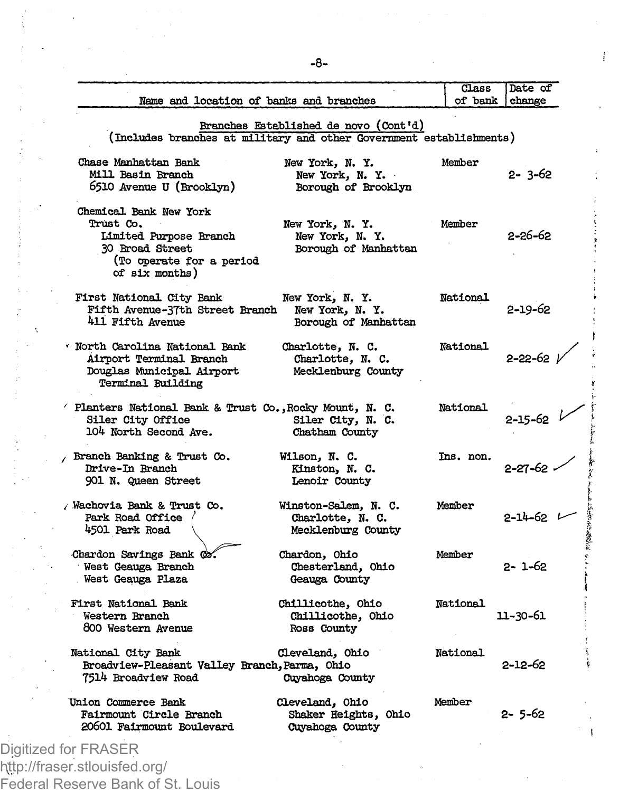|                                                                                                                                |                                                                | $\overline{\mathtt{Class}}$ | Date of             |
|--------------------------------------------------------------------------------------------------------------------------------|----------------------------------------------------------------|-----------------------------|---------------------|
| Name and location of banks and branches                                                                                        |                                                                | of bank                     | change              |
| (Includes branches at military and other Government establishments)                                                            | Branches Established de novo (Cont'd)                          |                             |                     |
| Chase Manhattan Bank<br>Mill Basin Branch<br>6510 Avenue U (Brooklyn)                                                          | New York, N.Y.<br>New York, N.Y.<br>Borough of Brooklyn        | Member                      | 2-3-62              |
| Chemical Bank New York<br>Trust Co.<br>Limited Purpose Branch<br>30 Broad Street<br>(To operate for a period<br>of six months) | New York, N. Y.<br>New York, N.Y.<br>Borough of Manhattan      | Member                      | 2-26-62             |
| First National City Bank<br>Fifth Avenue-37th Street Branch<br>411 Fifth Avenue                                                | New York, N.Y.<br>New York, N.Y.<br>Borough of Manhattan       | National                    | 2-19-62             |
| . North Carolina National Rank<br>Airport Terminal Branch<br>Douglas Municipal Airport<br>Terminal Building                    | Charlotte, N. C.<br>Charlotte, N. C.<br>Mecklenburg County     | National                    | $2 - 22 - 62$ $\nu$ |
| Planters National Bank & Trust Co., Rocky Mount, N. C.<br>Siler City Office<br>104 North Second Ave.                           | Siler City, N. C.<br>Chatham County                            | National                    | $2 - 15 - 62$       |
| Branch Banking & Trust Co.<br>Drive-In Branch<br><b>901 N. Queen Street</b>                                                    | Wilson, N. C.<br>Kinston, N. C.<br>Lenoir County               | Ins. non.                   | $2 - 27 - 62$       |
| / Wachovia Bank & Trust Co.<br>Park Road Office<br>4501 Park Road                                                              | Winston-Salem, N. C.<br>Charlotte, N. C.<br>Mecklenburg County | Member                      | $2 - 14 - 62$       |
| Chardon Savings Bank Co.<br>West Geauga Branch<br>West Geauga Plaza                                                            | Chardon, Ohio<br>Chesterland, Ohio<br>Geauga County            | Member                      | 2- 1-62             |
| First National Bank<br>Western Branch<br>800 Western Avenue                                                                    | Chillicothe, Ohio<br>Chillicothe, Ohio<br>Ross County          | National                    | 11-30-61            |
| National City Bank<br>Broadview-Pleasant Valley Branch, Parma, Ohio<br>7514 Broadview Road                                     | Cleveland, Ohio<br>Cuyahoga County                             | National                    | 2-12-62             |
| Union Commerce Bank<br>Fairmount Circle Branch<br>20601 Fairmount Boulevard                                                    | Cleveland, Ohio<br>Shaker Heights, Ohio<br>Cuyahoga County     | Member                      | 2-5-62              |

*I* 

**t** 

**I**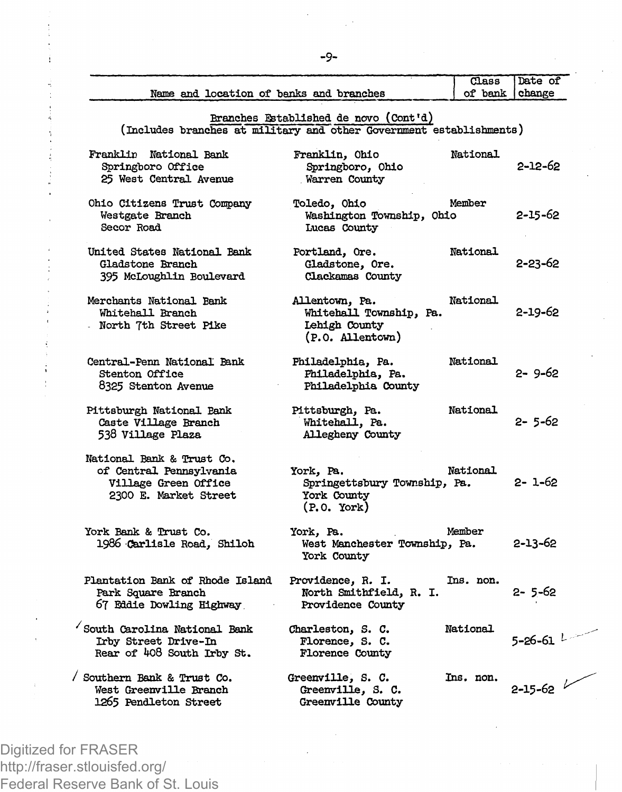| Name and location of banks and branches                                                               |                                                                                   | Class<br>of bank | Date of<br>change       |
|-------------------------------------------------------------------------------------------------------|-----------------------------------------------------------------------------------|------------------|-------------------------|
| (Includes branches at military and other Government establishments)                                   | Branches Established de novo (Cont'd)                                             |                  |                         |
| Franklin National Bank<br>Springboro Office<br>25 West Central Avenue                                 | Franklin, Ohio<br>Springboro, Ohio<br>Warren County                               | National         | 2-12-62                 |
| Ohio Citizens Trust Company<br>Westgate Branch<br>Secor Road                                          | Toledo, Ohio<br>Washington Township, Ohio<br>Lucas County                         | Member           | 2-15-62                 |
| United States National Bank<br>Gladstone Branch<br>395 McLoughlin Boulevard                           | Portland, Ore.<br>Gladstone, Ore.<br>Clackamas County                             | National         | 2-23-62                 |
| Merchants National Bank<br>Whitehall Branch<br>North 7th Street Pike                                  | Allentown, Pa.<br>Whitehall Township, Pa.<br>Lehigh County<br>(P.O. Allentown)    | National         | 2-19-62                 |
| Central-Penn National Bank<br><b>Stenton Office</b><br>8325 Stenton Avenue                            | Philadelphia, Pa.<br>Philadelphia, Pa.<br>Philadelphia County                     | National         | 2-9-62                  |
| Pittsburgh National Bank<br>Caste Village Branch<br>538 Village Plaza                                 | Pittsburgh, Pa.<br>Whitehall, Pa.<br>Allegheny County                             | National         | 2-5-62                  |
| National Bank & Trust Co.<br>of Central Pennsylvania<br>Village Green Office<br>2300 E. Market Street | York, Pa.<br>Springettsbury Township, Pa.<br>York County<br>$(P. 0. \text{York})$ | National         | $2 - 1 - 62$            |
| York Bank & Trust Co.<br>1986 Carlisle Road, Shiloh                                                   | York. Pa.<br>West Manchester Township, Pa.<br>York County                         | Member           | 2-13-62                 |
| Plantation Bank of Rhode Island<br>Park Square Branch<br>67 Eddie Dowling Highway                     | Providence, R. I.<br>North Smithfield, R. I.<br>Providence County                 | Ins. non.        | 2- 5-62                 |
| South Carolina National Bank<br>Irby Street Drive-In<br>Rear of 408 South Irby St.                    | Charleston, S. C.<br>Florence, S. C.<br>Florence County                           | National         | 5-26-61 $^{\mathrm{L}}$ |
| / Southern Bank & Trust Co.<br>West Greenville Branch<br>1265 Pendleton Street                        | Greenville, S. C.<br>Greenville, S. C.<br>Greenville County                       | Ins. non.        | $2 - 15 - 62$           |

**-9-**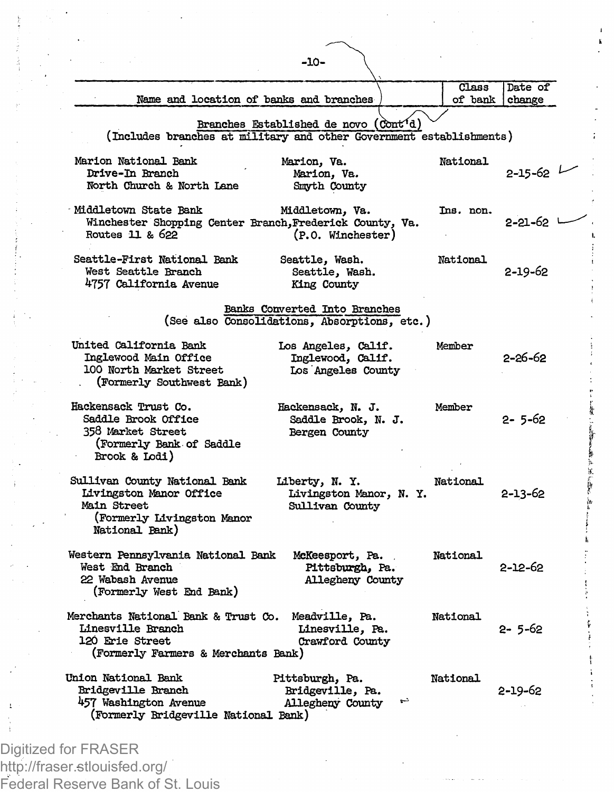| Name and location of banks and branches                                                                                           |                                                                | Class<br>of bank | Date of<br>change |
|-----------------------------------------------------------------------------------------------------------------------------------|----------------------------------------------------------------|------------------|-------------------|
| (Includes branches at military and other Government establishments)                                                               | Branches Established de novo (Cont'd)                          |                  |                   |
| Marion National Bank<br>Drive-In Branch<br>North Church & North Lane                                                              | Marion, Va.<br>Marion, Va.<br>Smyth County                     | National         | $2 - 15 - 62$     |
| Middletown State Bank<br>Winchester Shopping Center Branch, Frederick County, Va.<br>Routes 11 & 622                              | Middletown, Va.<br>(P.O. Winchester)                           | Ins. non.        | 2-21-62 '         |
| Seattle-First National Bank<br>West Seattle Branch<br>4757 California Avenue                                                      | Seattle, Wash.<br>Seattle, Wash.<br>King County                | National         | 2-19-62           |
| (See also Consolidations, Absorptions, etc.)                                                                                      | Banks Converted Into Branches                                  |                  |                   |
| United California Bank<br>Inglewood Main Office<br>100 North Market Street<br>(Formerly Southwest Bank)                           | Los Angeles, Calif.<br>Inglewood, Calif.<br>Los Angeles County | Member           | 2-26-62           |
| Hackensack Trust Co.<br>Saddle Brook Office<br>358 Market Street<br>(Formerly Bank of Saddle<br>Brook & Lodi)                     | Hackensack, N. J.<br>Saddle Brook, N. J.<br>Bergen County      | Member           | 2- 5-62           |
| Sullivan County National Bank<br>Livingston Manor Office<br>Main Street<br>(Formerly Livingston Manor<br>National Bank)           | Liberty, N. Y.<br>Livingston Manor, N. Y.<br>Sullivan County   | National         | 2-13-62           |
| Western Pennsylvania National Bank<br>West End Branch<br>22 Wabash Avenue<br>(Formerly West End Bank)                             | McKeesport, Pa.<br>Pittsburgh, Pa.<br>Allegheny County         | National         | 2-12-62           |
| Merchants National Bank & Trust Co. Meadville, Pa.<br>Linesville Branch<br>120 Erie Street<br>(Formerly Farmers & Merchants Bank) | Linesville, Pa.<br>Crawford County                             | National         | 2- 5-62           |
| Union National Bank<br>Bridgeville Branch<br>457 Washington Avenue<br>(Formerly Bridgeville National Bank)                        | Pittsburgh, Pa.<br>Bridgeville, Pa.<br>Allegheny County        | National         | 2-19-62           |

ś.

Federal Reserve Bank of St. Louis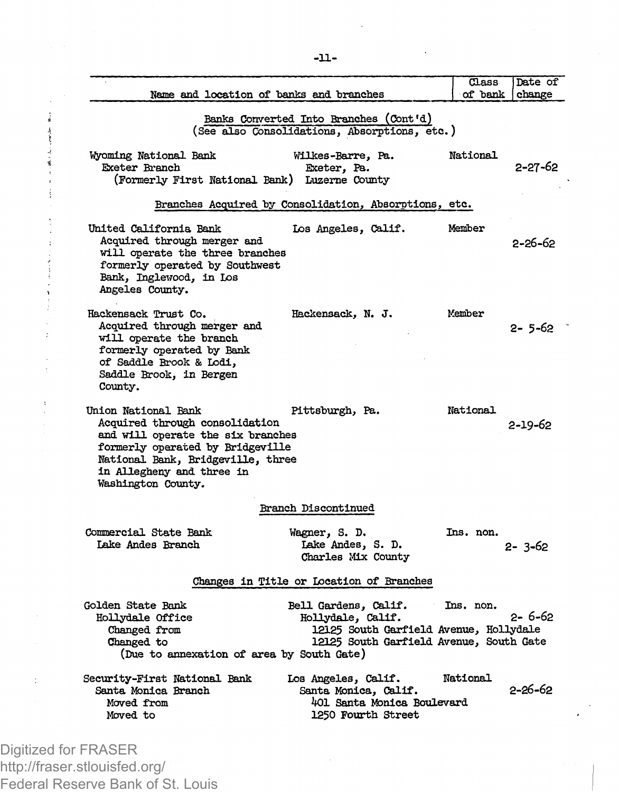| Name and location of banks and branches                                                                                                                                                                                |                                                                                                                                                  | Class<br>of bank | Date of<br>change |
|------------------------------------------------------------------------------------------------------------------------------------------------------------------------------------------------------------------------|--------------------------------------------------------------------------------------------------------------------------------------------------|------------------|-------------------|
|                                                                                                                                                                                                                        | Banks Converted Into Branches (Cont'd)<br>(See also Consolidations, Absorptions, etc.)                                                           |                  |                   |
| Wyoming National Bank<br>Exeter Branch<br>(Formerly First National Bank) Luzerne County                                                                                                                                | Wilkes-Barre, Pa.<br>Exeter, Pa.                                                                                                                 | National         | 2-27-62           |
|                                                                                                                                                                                                                        | Branches Acquired by Consolidation, Absorptions, etc.                                                                                            |                  |                   |
| United California Bank<br>Acquired through merger and<br>will operate the three branches<br>formerly operated by Southwest<br>Bank, Inglewood, in Los<br>Angeles County.                                               | Los Angeles, Calif.                                                                                                                              | Member           | 2-26-62           |
| Hackensack Trust Co.<br>Acquired through merger and<br>will operate the branch<br>formerly operated by Bank<br>of Saddle Brook & Lodi.<br>Saddle Brook, in Bergen<br>County.                                           | Hackensack, N. J.                                                                                                                                | Member           | 2- 5-62           |
| Union National Bank<br>Acquired through consolidation<br>and will operate the six branches<br>formerly operated by Bridgeville<br>National Bank, Bridgeville, three<br>in Allegheny and three in<br>Washington County. | Pittsburgh, Pa.                                                                                                                                  | National         | 2-19-62           |
|                                                                                                                                                                                                                        | Branch Discontinued                                                                                                                              |                  |                   |
| Commercial State Bank<br>Lake Andes Branch                                                                                                                                                                             | Wagner, S. D.<br>Lake Andes, S. D.<br>Charles Mix County                                                                                         | Ins. non.        | $2 - 3 - 62$      |
|                                                                                                                                                                                                                        | Changes in Title or Location of Branches                                                                                                         |                  |                   |
| Golden State Bank<br>Hollydale Office<br>Changed from<br>Changed to<br>(Due to annexation of area by South Gate)                                                                                                       | Bell Gardens, Calif.<br>$\sim 10^{-1}$<br>Hollydale, Calif.<br>12125 South Garfield Avenue, Hollydale<br>12125 South Garfield Avenue, South Gate | Ins. non.        | 2- 6-62           |
| Security-First National Bank<br>Santa Monica Branch<br>Moved from<br>Moved to                                                                                                                                          | Los Angeles, Calif.<br>Santa Monica, Calif.<br>401 Santa Monica Boulevard<br>1250 Fourth Street                                                  | National         | 2-26-62           |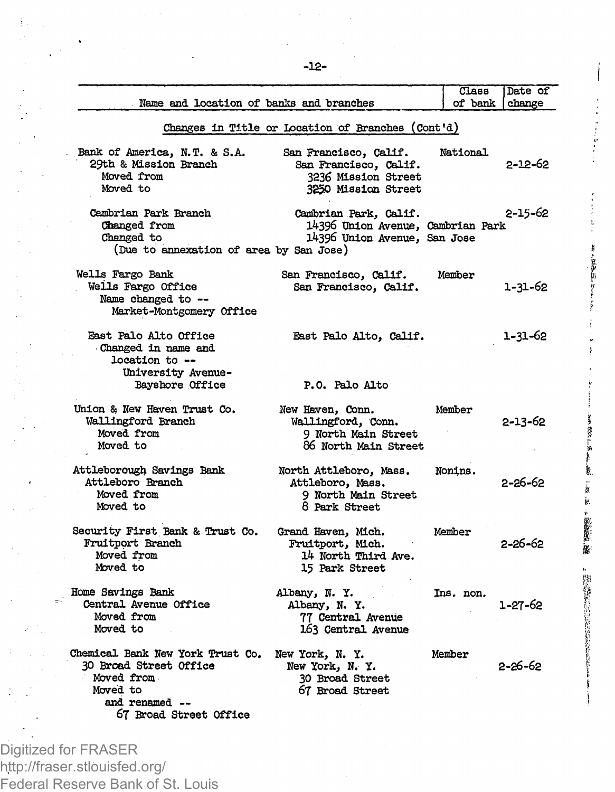| Name and location of banks and branches                                                                                                 |                                                                                                     | Class<br>of bank | Date of<br>change |
|-----------------------------------------------------------------------------------------------------------------------------------------|-----------------------------------------------------------------------------------------------------|------------------|-------------------|
|                                                                                                                                         | Changes in Title or Location of Branches (Cont'd)                                                   |                  |                   |
| Bank of America, N.T. & S.A.<br>29th & Mission Branch<br>Moved from<br>Moved to                                                         | San Francisco, Calif.<br>San Francisco, Calif.<br>3236 Mission Street<br><b>3250 Mission Street</b> | National         | 2-12-62           |
| Cambrian Park Branch<br>Changed from<br>Changed to<br>(Due to annexation of area by San Jose)                                           | Cambrian Park, Calif.<br>14396 Union Avenue, Cambrian Park<br>14396 Union Avenue, San Jose          |                  | 2-15-62           |
| Wells Fargo Bank<br>Wells Fargo Office<br>Name changed to --<br>Market-Montgomery Office                                                | San Francisco, Calif.<br>San Francisco, Calif.                                                      | Member           | 1-31-62           |
| East Palo Alto Office<br>Changed in name and<br>location to --<br>University Avenue-                                                    | East Palo Alto, Calif.                                                                              |                  | 1-31-62           |
| Bayshore Office                                                                                                                         | P.O. Palo Alto                                                                                      |                  |                   |
| Union & New Haven Trust Co.<br>Wallingford Branch<br>Moved from<br>Moved to                                                             | New Haven, Conn.<br>Wallingford, Conn.<br>9 North Main Street<br>86 North Main Street               | Member           | 2-13-62           |
| Attleborough Savings Bank<br>Attleboro Branch<br>Moved from<br>Moved to                                                                 | North Attleboro, Mass.<br>Attleboro, Mass.<br>9 North Main Street<br>8 Park Street                  | Nonins.          | 2-26-62           |
| Security First Bank & Trust Co.<br>Fruitport Branch<br>Moved from<br>Moved to                                                           | Grand Haven, Mich.<br>Fruitport, Mich.<br>14 North Third Ave.<br>15 Park Street                     | Member           | 2-26-62           |
| Home Savings Bank<br>Central Avenue Office<br>Moved from<br>Moved to                                                                    | Albany, N.Y.<br>Albany, N. Y.<br>77 Central Avenue<br>163 Central Avenue                            | Ins. non.        | 1-27-62           |
| Chemical Bank New York Trust Co.<br><b>30 Broad Street Office</b><br>Moved from<br>Moved to<br>and renamed --<br>67 Broad Street Office | New York, N.Y.<br>New York, N. Y.<br>30 Broad Street<br>67 Broad Street                             | Member           | $2 - 26 - 62$     |